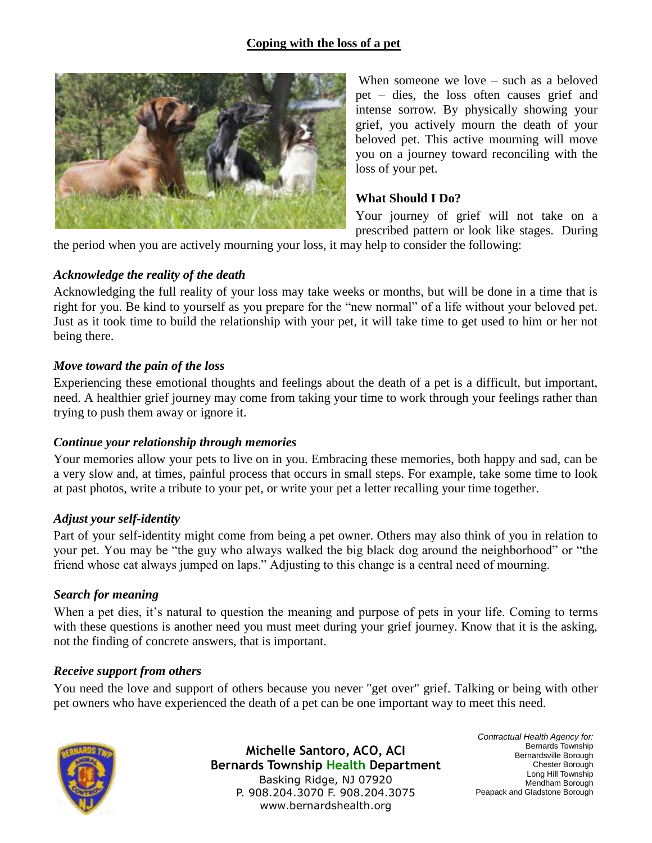# **Coping with the loss of a pet**



When someone we love – such as a beloved pet – dies, the loss often causes grief and intense sorrow. By physically showing your grief, you actively mourn the death of your beloved pet. This active mourning will move you on a journey toward reconciling with the loss of your pet.

### **What Should I Do?**

Your journey of grief will not take on a prescribed pattern or look like stages. During

the period when you are actively mourning your loss, it may help to consider the following:

## *Acknowledge the reality of the death*

Acknowledging the full reality of your loss may take weeks or months, but will be done in a time that is right for you. Be kind to yourself as you prepare for the "new normal" of a life without your beloved pet. Just as it took time to build the relationship with your pet, it will take time to get used to him or her not being there.

### *Move toward the pain of the loss*

Experiencing these emotional thoughts and feelings about the death of a pet is a difficult, but important, need. A healthier grief journey may come from taking your time to work through your feelings rather than trying to push them away or ignore it.

## *Continue your relationship through memories*

Your memories allow your pets to live on in you. Embracing these memories, both happy and sad, can be a very slow and, at times, painful process that occurs in small steps. For example, take some time to look at past photos, write a tribute to your pet, or write your pet a letter recalling your time together.

#### *Adjust your self-identity*

Part of your self-identity might come from being a pet owner. Others may also think of you in relation to your pet. You may be "the guy who always walked the big black dog around the neighborhood" or "the friend whose cat always jumped on laps." Adjusting to this change is a central need of mourning.

#### *Search for meaning*

When a pet dies, it's natural to question the meaning and purpose of pets in your life. Coming to terms with these questions is another need you must meet during your grief journey. Know that it is the asking, not the finding of concrete answers, that is important.

#### *Receive support from others*

You need the love and support of others because you never "get over" grief. Talking or being with other pet owners who have experienced the death of a pet can be one important way to meet this need.



**Michelle Santoro, ACO, ACI Bernards Township Health Department** Basking Ridge, NJ 07920 P. 908.204.3070 F. 908.204.3075 www.bernardshealth.org

*Contractual Health Agency for:* Bernards Township Bernardsville Borough Chester Borough Long Hill Township Mendham Borough Peapack and Gladstone Borough